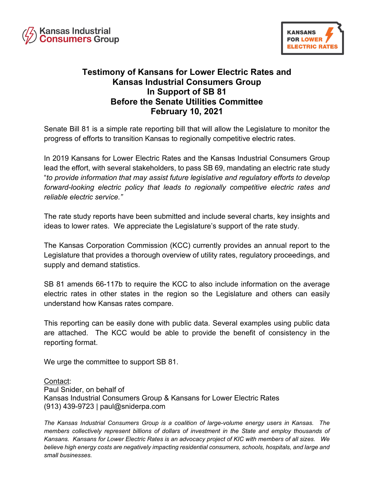



## **Testimony of Kansans for Lower Electric Rates and Kansas Industrial Consumers Group In Support of SB 81 Before the Senate Utilities Committee February 10, 2021**

Senate Bill 81 is a simple rate reporting bill that will allow the Legislature to monitor the progress of efforts to transition Kansas to regionally competitive electric rates.

In 2019 Kansans for Lower Electric Rates and the Kansas Industrial Consumers Group lead the effort, with several stakeholders, to pass SB 69, mandating an electric rate study "*to provide information that may assist future legislative and regulatory efforts to develop forward-looking electric policy that leads to regionally competitive electric rates and reliable electric service."*

The rate study reports have been submitted and include several charts, key insights and ideas to lower rates. We appreciate the Legislature's support of the rate study.

The Kansas Corporation Commission (KCC) currently provides an annual report to the Legislature that provides a thorough overview of utility rates, regulatory proceedings, and supply and demand statistics.

SB 81 amends 66-117b to require the KCC to also include information on the average electric rates in other states in the region so the Legislature and others can easily understand how Kansas rates compare.

This reporting can be easily done with public data. Several examples using public data are attached. The KCC would be able to provide the benefit of consistency in the reporting format.

We urge the committee to support SB 81.

## Contact:

Paul Snider, on behalf of Kansas Industrial Consumers Group & Kansans for Lower Electric Rates (913) 439-9723 | paul@sniderpa.com

*The Kansas Industrial Consumers Group is a coalition of large-volume energy users in Kansas. The members collectively represent billions of dollars of investment in the State and employ thousands of Kansans. Kansans for Lower Electric Rates is an advocacy project of KIC with members of all sizes. We believe high energy costs are negatively impacting residential consumers, schools, hospitals, and large and small businesses.*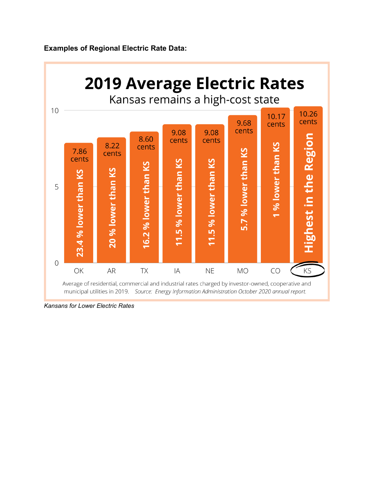**Examples of Regional Electric Rate Data:**



*Kansans for Lower Electric Rates*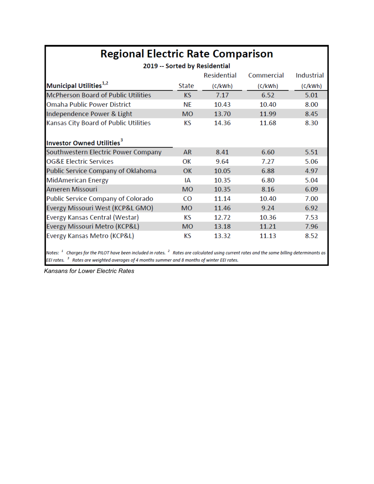| <b>Regional Electric Rate Comparison</b><br>2019 -- Sorted by Residential                                                                                         |           |         |         |         |  |  |  |  |  |  |
|-------------------------------------------------------------------------------------------------------------------------------------------------------------------|-----------|---------|---------|---------|--|--|--|--|--|--|
|                                                                                                                                                                   |           |         |         |         |  |  |  |  |  |  |
| Municipal Utilities <sup>1,2</sup>                                                                                                                                | State     | (c/kWh) | (c/kWh) | (c/kWh) |  |  |  |  |  |  |
| <b>McPherson Board of Public Utilities</b>                                                                                                                        | <b>KS</b> | 7.17    | 6.52    | 5.01    |  |  |  |  |  |  |
| <b>Omaha Public Power District</b>                                                                                                                                | ΝF        | 10.43   | 10.40   | 8.00    |  |  |  |  |  |  |
| Independence Power & Light                                                                                                                                        | <b>MO</b> | 13.70   | 11.99   | 8.45    |  |  |  |  |  |  |
| Kansas City Board of Public Utilities                                                                                                                             | КS        | 14.36   | 11.68   | 8.30    |  |  |  |  |  |  |
| Investor Owned Utilities <sup>3</sup>                                                                                                                             |           |         |         |         |  |  |  |  |  |  |
| Southwestern Electric Power Company                                                                                                                               | AR        | 8.41    | 6.60    | 5.51    |  |  |  |  |  |  |
| <b>OG&amp;E Electric Services</b>                                                                                                                                 | OK        | 9.64    | 7.27    | 5.06    |  |  |  |  |  |  |
| Public Service Company of Oklahoma                                                                                                                                | OK        | 10.05   | 6.88    | 4.97    |  |  |  |  |  |  |
| <b>MidAmerican Energy</b>                                                                                                                                         | ΙA        | 10.35   | 6.80    | 5.04    |  |  |  |  |  |  |
| Ameren Missouri                                                                                                                                                   | <b>MO</b> | 10.35   | 8.16    | 6.09    |  |  |  |  |  |  |
| Public Service Company of Colorado                                                                                                                                | CO        | 11.14   | 10.40   | 7.00    |  |  |  |  |  |  |
| Evergy Missouri West (KCP&L GMO)                                                                                                                                  | <b>MO</b> | 11.46   | 9.24    | 6.92    |  |  |  |  |  |  |
| Evergy Kansas Central (Westar)                                                                                                                                    | КS        | 12.72   | 10.36   | 7.53    |  |  |  |  |  |  |
| Evergy Missouri Metro (KCP&L)                                                                                                                                     | <b>MO</b> | 13.18   | 11.21   | 7.96    |  |  |  |  |  |  |
| Evergy Kansas Metro (KCP&L)                                                                                                                                       | КS        | 13.32   | 11.13   | 8.52    |  |  |  |  |  |  |
| Notes: <sup>1</sup> Charges for the PILOT have been included in rates. <sup>2</sup> Rates are calculated using current rates and the same billing determinants as |           |         |         |         |  |  |  |  |  |  |

Notes:  $\frac{1}{2}$  Charges for the PILOT have been included in rates.  $\frac{2}{5}$  Rates are calculated using current<br>EEI rates.  $\frac{3}{5}$  Rates are weighted averages of 4 months summer and 8 months of winter EEI rates.

*Kansans for Lower Electric Rates*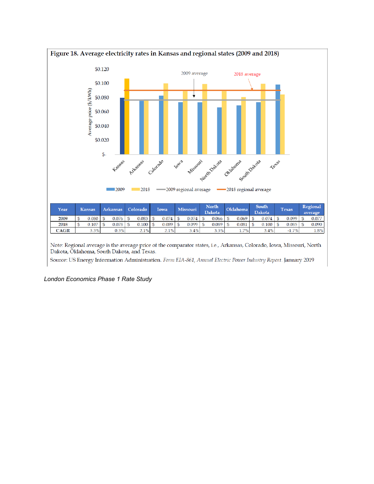

Note: Regional average is the average price of the comparator states, i.e., Arkansas, Colorado, Iowa, Missouri, North Dakota, Oklahoma, South Dakota, and Texas.

Source: US Energy Information Administration. Form EIA-861, Annual Electric Power Industry Report. January 2019

*London Economics Phase 1 Rate Study*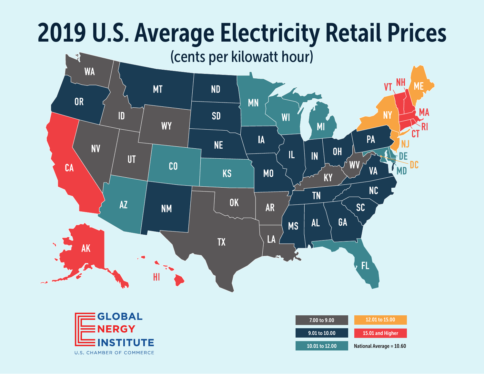## 2019 U.S. Average Electricity Retail Prices





| 7.00 to 9.00   | 12.01 to 15.00           |
|----------------|--------------------------|
| 9.01 to 10.00  | 15.01 and Higher         |
| 10.01 to 12.00 | National Average = 10.60 |